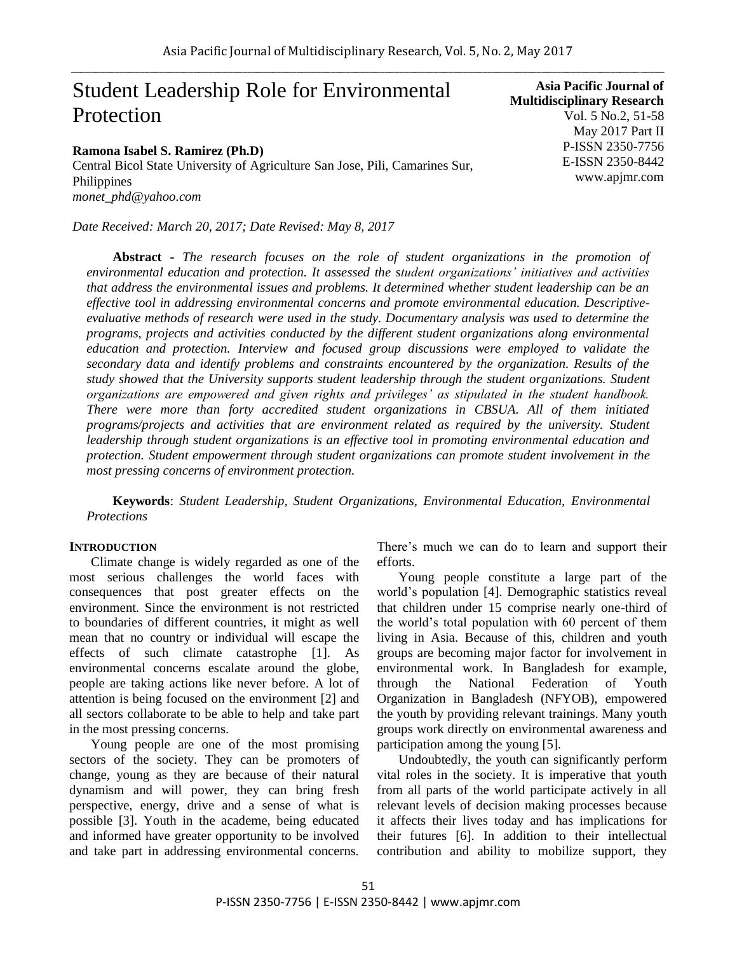# Student Leadership Role for Environmental Protection

#### **Ramona Isabel S. Ramirez (Ph.D)**

Central Bicol State University of Agriculture San Jose, Pili, Camarines Sur, Philippines *monet\_phd@yahoo.com*

*Date Received: March 20, 2017; Date Revised: May 8, 2017*

**Asia Pacific Journal of Multidisciplinary Research** Vol. 5 No.2, 51-58 May 2017 Part II P-ISSN 2350-7756 E-ISSN 2350-8442 www.apjmr.com

**Abstract -** *The research focuses on the role of student organizations in the promotion of environmental education and protection. It assessed the student organizations' initiatives and activities that address the environmental issues and problems. It determined whether student leadership can be an effective tool in addressing environmental concerns and promote environmental education. Descriptiveevaluative methods of research were used in the study. Documentary analysis was used to determine the programs, projects and activities conducted by the different student organizations along environmental education and protection. Interview and focused group discussions were employed to validate the secondary data and identify problems and constraints encountered by the organization. Results of the study showed that the University supports student leadership through the student organizations. Student organizations are empowered and given rights and privileges' as stipulated in the student handbook. There were more than forty accredited student organizations in CBSUA. All of them initiated programs/projects and activities that are environment related as required by the university. Student leadership through student organizations is an effective tool in promoting environmental education and protection. Student empowerment through student organizations can promote student involvement in the most pressing concerns of environment protection.*

**Keywords**: *Student Leadership, Student Organizations, Environmental Education, Environmental Protections*

#### **INTRODUCTION**

Climate change is widely regarded as one of the most serious challenges the world faces with consequences that post greater effects on the environment. Since the environment is not restricted to boundaries of different countries, it might as well mean that no country or individual will escape the effects of such climate catastrophe [1]. As environmental concerns escalate around the globe, people are taking actions like never before. A lot of attention is being focused on the environment [2] and all sectors collaborate to be able to help and take part in the most pressing concerns.

Young people are one of the most promising sectors of the society. They can be promoters of change, young as they are because of their natural dynamism and will power, they can bring fresh perspective, energy, drive and a sense of what is possible [3]. Youth in the academe, being educated and informed have greater opportunity to be involved and take part in addressing environmental concerns. There's much we can do to learn and support their efforts.

Young people constitute a large part of the world's population [4]. Demographic statistics reveal that children under 15 comprise nearly one-third of the world's total population with 60 percent of them living in Asia. Because of this, children and youth groups are becoming major factor for involvement in environmental work. In Bangladesh for example, through the National Federation of Youth Organization in Bangladesh (NFYOB), empowered the youth by providing relevant trainings. Many youth groups work directly on environmental awareness and participation among the young [5].

Undoubtedly, the youth can significantly perform vital roles in the society. It is imperative that youth from all parts of the world participate actively in all relevant levels of decision making processes because it affects their lives today and has implications for their futures [6]. In addition to their intellectual contribution and ability to mobilize support, they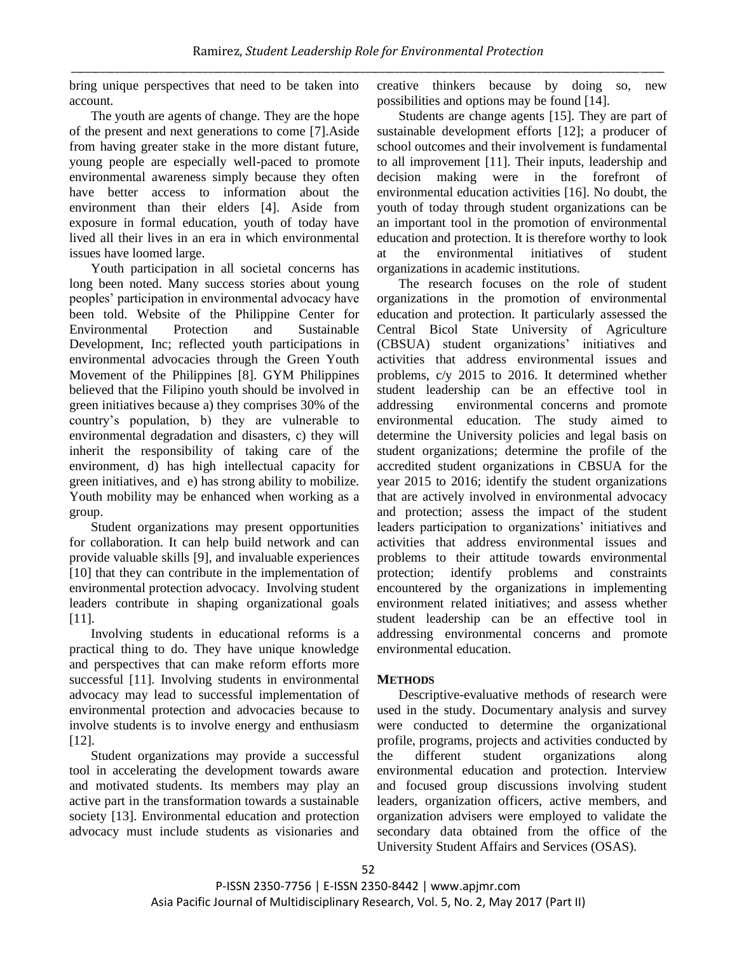bring unique perspectives that need to be taken into account.

The youth are agents of change. They are the hope of the present and next generations to come [7].Aside from having greater stake in the more distant future, young people are especially well-paced to promote environmental awareness simply because they often have better access to information about the environment than their elders [4]. Aside from exposure in formal education, youth of today have lived all their lives in an era in which environmental issues have loomed large.

Youth participation in all societal concerns has long been noted. Many success stories about young peoples' participation in environmental advocacy have been told. Website of the Philippine Center for Environmental Protection and Sustainable Development, Inc; reflected youth participations in environmental advocacies through the Green Youth Movement of the Philippines [8]. GYM Philippines believed that the Filipino youth should be involved in green initiatives because a) they comprises 30% of the country's population, b) they are vulnerable to environmental degradation and disasters, c) they will inherit the responsibility of taking care of the environment, d) has high intellectual capacity for green initiatives, and e) has strong ability to mobilize. Youth mobility may be enhanced when working as a group.

Student organizations may present opportunities for collaboration. It can help build network and can provide valuable skills [9], and invaluable experiences [10] that they can contribute in the implementation of environmental protection advocacy. Involving student leaders contribute in shaping organizational goals [11].

Involving students in educational reforms is a practical thing to do. They have unique knowledge and perspectives that can make reform efforts more successful [11]. Involving students in environmental advocacy may lead to successful implementation of environmental protection and advocacies because to involve students is to involve energy and enthusiasm [12].

Student organizations may provide a successful tool in accelerating the development towards aware and motivated students. Its members may play an active part in the transformation towards a sustainable society [13]. Environmental education and protection advocacy must include students as visionaries and creative thinkers because by doing so, new possibilities and options may be found [14].

Students are change agents [15]. They are part of sustainable development efforts [12]; a producer of school outcomes and their involvement is fundamental to all improvement [11]. Their inputs, leadership and decision making were in the forefront of environmental education activities [16]. No doubt, the youth of today through student organizations can be an important tool in the promotion of environmental education and protection. It is therefore worthy to look at the environmental initiatives of student organizations in academic institutions.

The research focuses on the role of student organizations in the promotion of environmental education and protection. It particularly assessed the Central Bicol State University of Agriculture (CBSUA) student organizations' initiatives and activities that address environmental issues and problems, c/y 2015 to 2016. It determined whether student leadership can be an effective tool in addressing environmental concerns and promote environmental education. The study aimed to determine the University policies and legal basis on student organizations; determine the profile of the accredited student organizations in CBSUA for the year 2015 to 2016; identify the student organizations that are actively involved in environmental advocacy and protection; assess the impact of the student leaders participation to organizations' initiatives and activities that address environmental issues and problems to their attitude towards environmental protection; identify problems and constraints encountered by the organizations in implementing environment related initiatives; and assess whether student leadership can be an effective tool in addressing environmental concerns and promote environmental education.

#### **METHODS**

Descriptive-evaluative methods of research were used in the study. Documentary analysis and survey were conducted to determine the organizational profile, programs, projects and activities conducted by the different student organizations along environmental education and protection. Interview and focused group discussions involving student leaders, organization officers, active members, and organization advisers were employed to validate the secondary data obtained from the office of the University Student Affairs and Services (OSAS).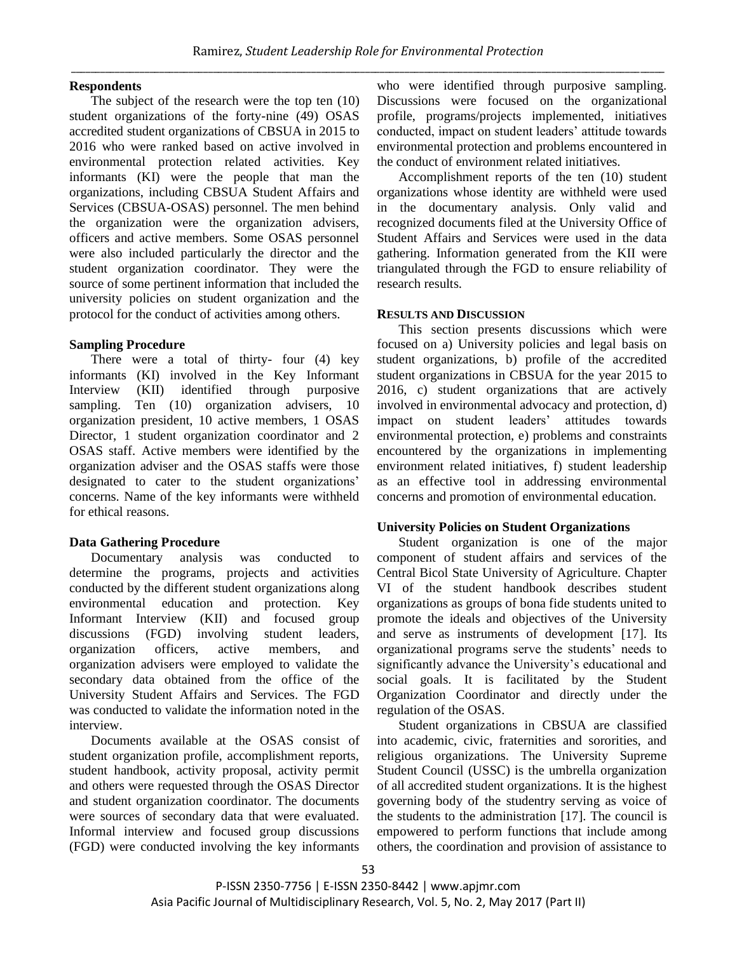### **Respondents**

The subject of the research were the top ten (10) student organizations of the forty-nine (49) OSAS accredited student organizations of CBSUA in 2015 to 2016 who were ranked based on active involved in environmental protection related activities. Key informants (KI) were the people that man the organizations, including CBSUA Student Affairs and Services (CBSUA-OSAS) personnel. The men behind the organization were the organization advisers, officers and active members. Some OSAS personnel were also included particularly the director and the student organization coordinator. They were the source of some pertinent information that included the university policies on student organization and the protocol for the conduct of activities among others.

## **Sampling Procedure**

There were a total of thirty- four (4) key informants (KI) involved in the Key Informant Interview (KII) identified through purposive sampling. Ten (10) organization advisers, 10 organization president, 10 active members, 1 OSAS Director, 1 student organization coordinator and 2 OSAS staff. Active members were identified by the organization adviser and the OSAS staffs were those designated to cater to the student organizations' concerns. Name of the key informants were withheld for ethical reasons.

# **Data Gathering Procedure**

Documentary analysis was conducted to determine the programs, projects and activities conducted by the different student organizations along environmental education and protection. Key Informant Interview (KII) and focused group discussions (FGD) involving student leaders, organization officers, active members, and organization advisers were employed to validate the secondary data obtained from the office of the University Student Affairs and Services. The FGD was conducted to validate the information noted in the interview.

Documents available at the OSAS consist of student organization profile, accomplishment reports, student handbook, activity proposal, activity permit and others were requested through the OSAS Director and student organization coordinator. The documents were sources of secondary data that were evaluated. Informal interview and focused group discussions (FGD) were conducted involving the key informants who were identified through purposive sampling. Discussions were focused on the organizational profile, programs/projects implemented, initiatives conducted, impact on student leaders' attitude towards environmental protection and problems encountered in the conduct of environment related initiatives.

Accomplishment reports of the ten (10) student organizations whose identity are withheld were used in the documentary analysis. Only valid and recognized documents filed at the University Office of Student Affairs and Services were used in the data gathering. Information generated from the KII were triangulated through the FGD to ensure reliability of research results.

## **RESULTS AND DISCUSSION**

This section presents discussions which were focused on a) University policies and legal basis on student organizations, b) profile of the accredited student organizations in CBSUA for the year 2015 to 2016, c) student organizations that are actively involved in environmental advocacy and protection, d) impact on student leaders' attitudes towards environmental protection, e) problems and constraints encountered by the organizations in implementing environment related initiatives, f) student leadership as an effective tool in addressing environmental concerns and promotion of environmental education.

# **University Policies on Student Organizations**

Student organization is one of the major component of student affairs and services of the Central Bicol State University of Agriculture. Chapter VI of the student handbook describes student organizations as groups of bona fide students united to promote the ideals and objectives of the University and serve as instruments of development [17]. Its organizational programs serve the students' needs to significantly advance the University's educational and social goals. It is facilitated by the Student Organization Coordinator and directly under the regulation of the OSAS.

Student organizations in CBSUA are classified into academic, civic, fraternities and sororities, and religious organizations. The University Supreme Student Council (USSC) is the umbrella organization of all accredited student organizations. It is the highest governing body of the studentry serving as voice of the students to the administration [17]. The council is empowered to perform functions that include among others, the coordination and provision of assistance to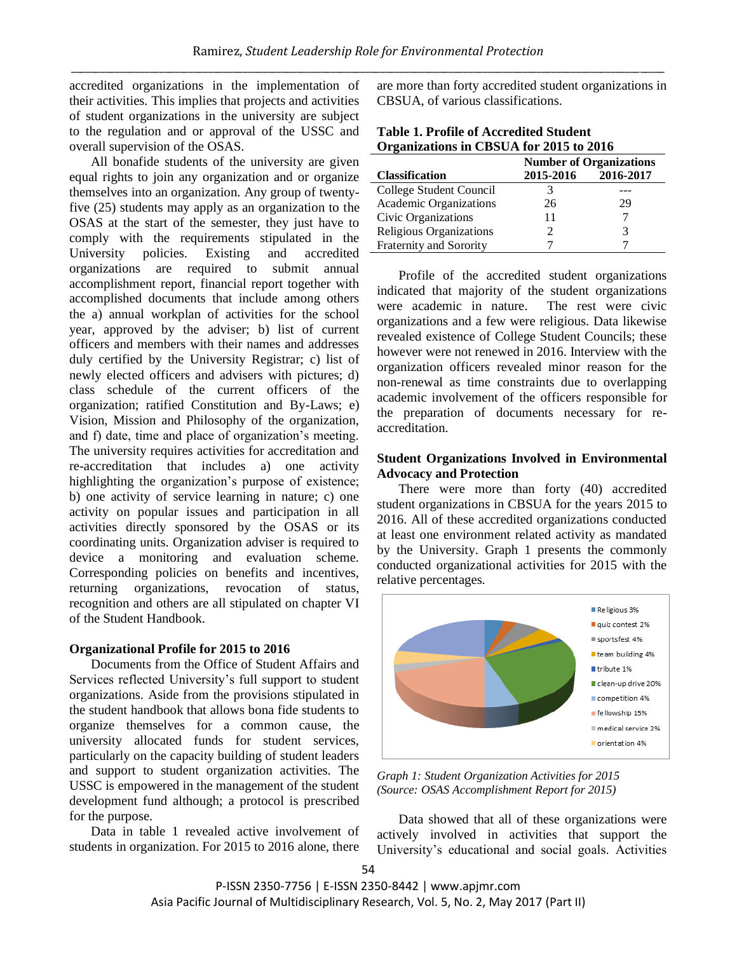accredited organizations in the implementation of their activities. This implies that projects and activities of student organizations in the university are subject to the regulation and or approval of the USSC and overall supervision of the OSAS.

All bonafide students of the university are given equal rights to join any organization and or organize themselves into an organization. Any group of twentyfive (25) students may apply as an organization to the OSAS at the start of the semester, they just have to comply with the requirements stipulated in the University policies. Existing and accredited organizations are required to submit annual accomplishment report, financial report together with accomplished documents that include among others the a) annual workplan of activities for the school year, approved by the adviser; b) list of current officers and members with their names and addresses duly certified by the University Registrar; c) list of newly elected officers and advisers with pictures; d) class schedule of the current officers of the organization; ratified Constitution and By-Laws; e) Vision, Mission and Philosophy of the organization, and f) date, time and place of organization's meeting. The university requires activities for accreditation and re-accreditation that includes a) one activity highlighting the organization's purpose of existence; b) one activity of service learning in nature; c) one activity on popular issues and participation in all activities directly sponsored by the OSAS or its coordinating units. Organization adviser is required to device a monitoring and evaluation scheme. Corresponding policies on benefits and incentives, returning organizations, revocation of status, recognition and others are all stipulated on chapter VI of the Student Handbook.

#### **Organizational Profile for 2015 to 2016**

Documents from the Office of Student Affairs and Services reflected University's full support to student organizations. Aside from the provisions stipulated in the student handbook that allows bona fide students to organize themselves for a common cause, the university allocated funds for student services, particularly on the capacity building of student leaders and support to student organization activities. The USSC is empowered in the management of the student development fund although; a protocol is prescribed for the purpose.

Data in table 1 revealed active involvement of students in organization. For 2015 to 2016 alone, there are more than forty accredited student organizations in CBSUA, of various classifications.

| <b>Table 1. Profile of Accredited Student</b> |  |  |  |
|-----------------------------------------------|--|--|--|
| Organizations in CBSUA for 2015 to 2016       |  |  |  |

|                                | <b>Number of Organizations</b> |           |
|--------------------------------|--------------------------------|-----------|
| <b>Classification</b>          | 2015-2016                      | 2016-2017 |
| College Student Council        |                                |           |
| Academic Organizations         | 26                             | 29        |
| Civic Organizations            | 11                             |           |
| <b>Religious Organizations</b> |                                | 3         |
| Fraternity and Sorority        |                                |           |

Profile of the accredited student organizations indicated that majority of the student organizations were academic in nature. The rest were civic organizations and a few were religious. Data likewise revealed existence of College Student Councils; these however were not renewed in 2016. Interview with the organization officers revealed minor reason for the non-renewal as time constraints due to overlapping academic involvement of the officers responsible for the preparation of documents necessary for reaccreditation.

#### **Student Organizations Involved in Environmental Advocacy and Protection**

There were more than forty (40) accredited student organizations in CBSUA for the years 2015 to 2016. All of these accredited organizations conducted at least one environment related activity as mandated by the University. Graph 1 presents the commonly conducted organizational activities for 2015 with the relative percentages.



*Graph 1: Student Organization Activities for 2015 (Source: OSAS Accomplishment Report for 2015)*

Data showed that all of these organizations were actively involved in activities that support the University's educational and social goals. Activities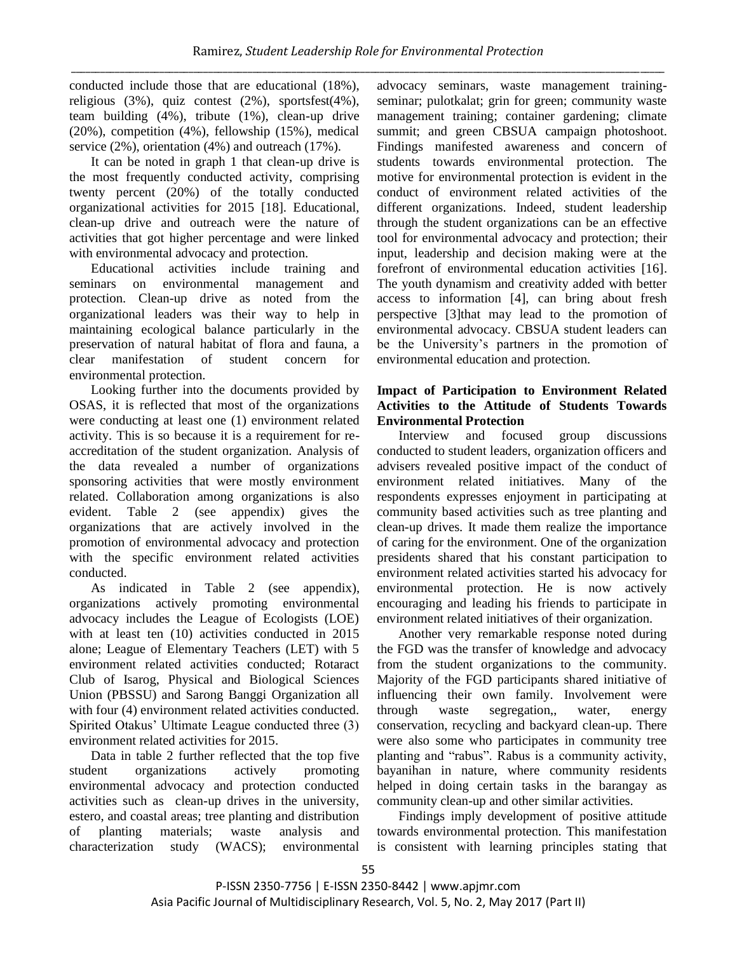conducted include those that are educational (18%), religious (3%), quiz contest (2%), sportsfest(4%), team building (4%), tribute (1%), clean-up drive (20%), competition (4%), fellowship (15%), medical service (2%), orientation (4%) and outreach (17%).

It can be noted in graph 1 that clean-up drive is the most frequently conducted activity, comprising twenty percent (20%) of the totally conducted organizational activities for 2015 [18]. Educational, clean-up drive and outreach were the nature of activities that got higher percentage and were linked with environmental advocacy and protection.

Educational activities include training and seminars on environmental management and protection. Clean-up drive as noted from the organizational leaders was their way to help in maintaining ecological balance particularly in the preservation of natural habitat of flora and fauna, a clear manifestation of student concern for environmental protection.

Looking further into the documents provided by OSAS, it is reflected that most of the organizations were conducting at least one (1) environment related activity. This is so because it is a requirement for reaccreditation of the student organization. Analysis of the data revealed a number of organizations sponsoring activities that were mostly environment related. Collaboration among organizations is also evident. Table 2 (see appendix) gives the organizations that are actively involved in the promotion of environmental advocacy and protection with the specific environment related activities conducted.

As indicated in Table 2 (see appendix), organizations actively promoting environmental advocacy includes the League of Ecologists (LOE) with at least ten (10) activities conducted in 2015 alone; League of Elementary Teachers (LET) with 5 environment related activities conducted; Rotaract Club of Isarog, Physical and Biological Sciences Union (PBSSU) and Sarong Banggi Organization all with four (4) environment related activities conducted. Spirited Otakus' Ultimate League conducted three (3) environment related activities for 2015.

Data in table 2 further reflected that the top five student organizations actively promoting environmental advocacy and protection conducted activities such as clean-up drives in the university, estero, and coastal areas; tree planting and distribution of planting materials; waste analysis and characterization study (WACS); environmental

advocacy seminars, waste management trainingseminar; pulotkalat; grin for green; community waste management training; container gardening; climate summit; and green CBSUA campaign photoshoot. Findings manifested awareness and concern of students towards environmental protection. The motive for environmental protection is evident in the conduct of environment related activities of the different organizations. Indeed, student leadership through the student organizations can be an effective tool for environmental advocacy and protection; their input, leadership and decision making were at the forefront of environmental education activities [16]. The youth dynamism and creativity added with better access to information [4], can bring about fresh perspective [3]that may lead to the promotion of environmental advocacy. CBSUA student leaders can be the University's partners in the promotion of environmental education and protection.

### **Impact of Participation to Environment Related Activities to the Attitude of Students Towards Environmental Protection**

Interview and focused group discussions conducted to student leaders, organization officers and advisers revealed positive impact of the conduct of environment related initiatives. Many of the respondents expresses enjoyment in participating at community based activities such as tree planting and clean-up drives. It made them realize the importance of caring for the environment. One of the organization presidents shared that his constant participation to environment related activities started his advocacy for environmental protection. He is now actively encouraging and leading his friends to participate in environment related initiatives of their organization.

Another very remarkable response noted during the FGD was the transfer of knowledge and advocacy from the student organizations to the community. Majority of the FGD participants shared initiative of influencing their own family. Involvement were through waste segregation,, water, energy conservation, recycling and backyard clean-up. There were also some who participates in community tree planting and "rabus". Rabus is a community activity, bayanihan in nature, where community residents helped in doing certain tasks in the barangay as community clean-up and other similar activities.

Findings imply development of positive attitude towards environmental protection. This manifestation is consistent with learning principles stating that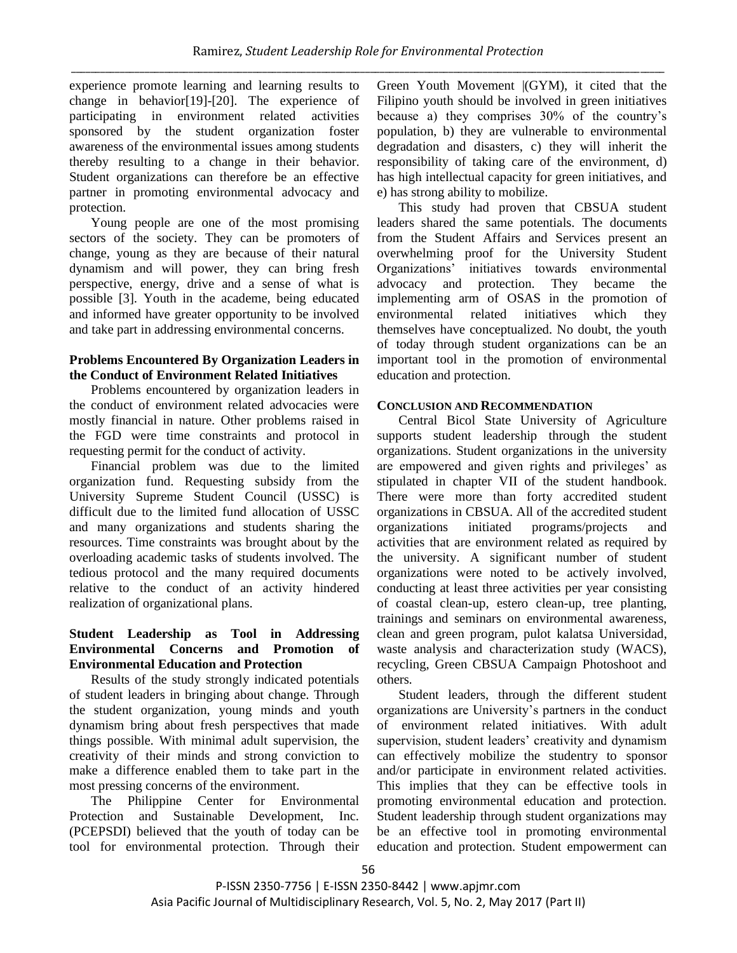experience promote learning and learning results to change in behavior[19]-[20]. The experience of participating in environment related activities sponsored by the student organization foster awareness of the environmental issues among students thereby resulting to a change in their behavior. Student organizations can therefore be an effective partner in promoting environmental advocacy and protection.

Young people are one of the most promising sectors of the society. They can be promoters of change, young as they are because of their natural dynamism and will power, they can bring fresh perspective, energy, drive and a sense of what is possible [3]. Youth in the academe, being educated and informed have greater opportunity to be involved and take part in addressing environmental concerns.

#### **Problems Encountered By Organization Leaders in the Conduct of Environment Related Initiatives**

Problems encountered by organization leaders in the conduct of environment related advocacies were mostly financial in nature. Other problems raised in the FGD were time constraints and protocol in requesting permit for the conduct of activity.

Financial problem was due to the limited organization fund. Requesting subsidy from the University Supreme Student Council (USSC) is difficult due to the limited fund allocation of USSC and many organizations and students sharing the resources. Time constraints was brought about by the overloading academic tasks of students involved. The tedious protocol and the many required documents relative to the conduct of an activity hindered realization of organizational plans.

### **Student Leadership as Tool in Addressing Environmental Concerns and Promotion of Environmental Education and Protection**

Results of the study strongly indicated potentials of student leaders in bringing about change. Through the student organization, young minds and youth dynamism bring about fresh perspectives that made things possible. With minimal adult supervision, the creativity of their minds and strong conviction to make a difference enabled them to take part in the most pressing concerns of the environment.

The Philippine Center for Environmental Protection and Sustainable Development, Inc. (PCEPSDI) believed that the youth of today can be tool for environmental protection. Through their Green Youth Movement |(GYM), it cited that the Filipino youth should be involved in green initiatives because a) they comprises 30% of the country's population, b) they are vulnerable to environmental degradation and disasters, c) they will inherit the responsibility of taking care of the environment, d) has high intellectual capacity for green initiatives, and e) has strong ability to mobilize.

This study had proven that CBSUA student leaders shared the same potentials. The documents from the Student Affairs and Services present an overwhelming proof for the University Student Organizations' initiatives towards environmental advocacy and protection. They became the implementing arm of OSAS in the promotion of environmental related initiatives which they themselves have conceptualized. No doubt, the youth of today through student organizations can be an important tool in the promotion of environmental education and protection.

#### **CONCLUSION AND RECOMMENDATION**

Central Bicol State University of Agriculture supports student leadership through the student organizations. Student organizations in the university are empowered and given rights and privileges' as stipulated in chapter VII of the student handbook. There were more than forty accredited student organizations in CBSUA. All of the accredited student organizations initiated programs/projects and activities that are environment related as required by the university. A significant number of student organizations were noted to be actively involved, conducting at least three activities per year consisting of coastal clean-up, estero clean-up, tree planting, trainings and seminars on environmental awareness, clean and green program, pulot kalatsa Universidad, waste analysis and characterization study (WACS), recycling, Green CBSUA Campaign Photoshoot and others.

Student leaders, through the different student organizations are University's partners in the conduct of environment related initiatives. With adult supervision, student leaders' creativity and dynamism can effectively mobilize the studentry to sponsor and/or participate in environment related activities. This implies that they can be effective tools in promoting environmental education and protection. Student leadership through student organizations may be an effective tool in promoting environmental education and protection. Student empowerment can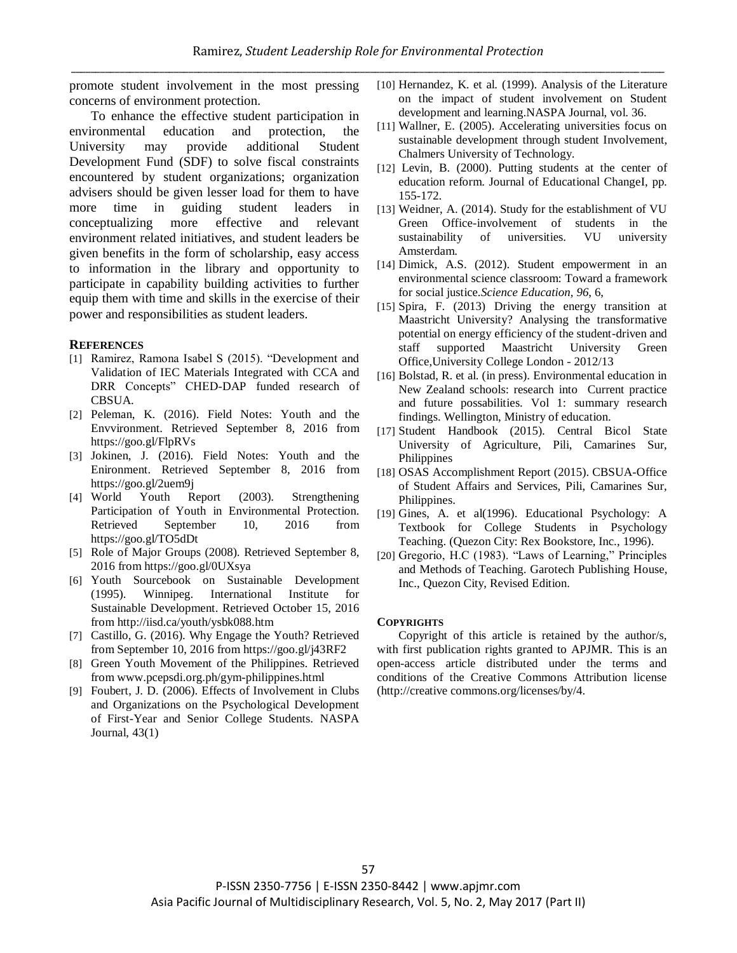promote student involvement in the most pressing concerns of environment protection.

To enhance the effective student participation in environmental education and protection, the University may provide additional Student Development Fund (SDF) to solve fiscal constraints encountered by student organizations; organization advisers should be given lesser load for them to have more time in guiding student leaders in conceptualizing more effective and relevant environment related initiatives, and student leaders be given benefits in the form of scholarship, easy access to information in the library and opportunity to participate in capability building activities to further equip them with time and skills in the exercise of their power and responsibilities as student leaders.

#### **REFERENCES**

- [1] Ramirez, Ramona Isabel S (2015). "Development and Validation of IEC Materials Integrated with CCA and DRR Concepts" CHED-DAP funded research of CBSUA.
- [2] Peleman, K. (2016). Field Notes: Youth and the Envvironment. Retrieved September 8, 2016 from https://goo.gl/FlpRVs
- [3] Jokinen, J. (2016). Field Notes: Youth and the Enironment. Retrieved September 8, 2016 from https://goo.gl/2uem9j
- [4] World Youth Report (2003). Strengthening Participation of Youth in Environmental Protection. Retrieved September 10, 2016 from https://goo.gl/TO5dDt
- [5] Role of Major Groups (2008). Retrieved September 8, 2016 from https://goo.gl/0UXsya
- [6] Youth Sourcebook on Sustainable Development (1995). Winnipeg. International Institute for Sustainable Development. Retrieved October 15, 2016 from http://iisd.ca/youth/ysbk088.htm
- [7] Castillo, G. (2016). Why Engage the Youth? Retrieved from September 10, 2016 from https://goo.gl/j43RF2
- [8] Green Youth Movement of the Philippines. Retrieved from www.pcepsdi.org.ph/gym-philippines.html
- [9] Foubert, J. D. (2006). Effects of Involvement in Clubs and Organizations on the Psychological Development of First-Year and Senior College Students. NASPA Journal, 43(1)
- [10] Hernandez, K. et al. (1999). Analysis of the Literature on the impact of student involvement on Student development and learning.NASPA Journal, vol. 36.
- [11] Wallner, E. (2005). Accelerating universities focus on sustainable development through student Involvement, Chalmers University of Technology.
- [12] Levin, B. (2000). Putting students at the center of education reform. Journal of Educational ChangeI, pp. 155-172.
- [13] Weidner, A. (2014). Study for the establishment of VU Green Office-involvement of students in the sustainability of universities. VU university Amsterdam.
- [14] Dimick, A.S. (2012). Student empowerment in an environmental science classroom: Toward a framework for social justice.*Science Education, 96*, 6,
- [15] Spira, F. (2013) Driving the energy transition at Maastricht University? Analysing the transformative potential on energy efficiency of the student-driven and staff supported Maastricht University Green Office,University College London - 2012/13
- [16] Bolstad, R. et al. (in press). Environmental education in New Zealand schools: research into Current practice and future possabilities. Vol 1: summary research findings. Wellington, Ministry of education.
- [17] Student Handbook (2015). Central Bicol State University of Agriculture, Pili, Camarines Sur, Philippines
- [18] OSAS Accomplishment Report (2015). CBSUA-Office of Student Affairs and Services, Pili, Camarines Sur, Philippines.
- [19] Gines, A. et al(1996). Educational Psychology: A Textbook for College Students in Psychology Teaching. (Quezon City: Rex Bookstore, Inc., 1996).
- [20] Gregorio, H.C (1983). "Laws of Learning," Principles and Methods of Teaching. Garotech Publishing House, Inc., Quezon City, Revised Edition.

#### **COPYRIGHTS**

Copyright of this article is retained by the author/s, with first publication rights granted to APJMR. This is an open-access article distributed under the terms and conditions of the Creative Commons Attribution license (http://creative commons.org/licenses/by/4.